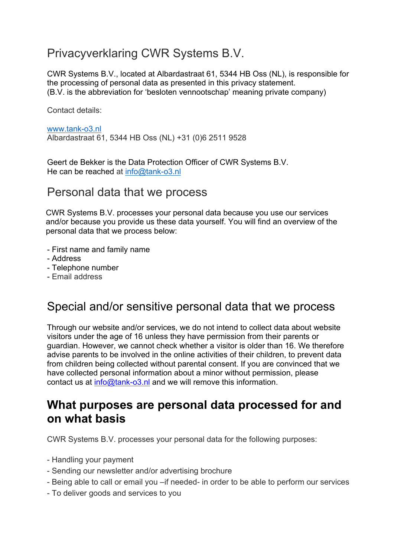### Privacyverklaring CWR Systems B.V.

CWR Systems B.V., located at Albardastraat 61, 5344 HB Oss (NL), is responsible for the processing of personal data as presented in this privacy statement. (B.V. is the abbreviation for 'besloten vennootschap' meaning private company)

Contact details:

www.tank-o3.nl Albardastraat 61, 5344 HB Oss (NL) +31 (0)6 2511 9528

Geert de Bekker is the Data Protection Officer of CWR Systems B.V. He can be reached at info@tank-o3.nl

#### Personal data that we process

 CWR Systems B.V. processes your personal data because you use our services and/or because you provide us these data yourself. You will find an overview of the personal data that we process below:

- First name and family name
- Address
- Telephone number
- Email address

### Special and/or sensitive personal data that we process

Through our website and/or services, we do not intend to collect data about website visitors under the age of 16 unless they have permission from their parents or guardian. However, we cannot check whether a visitor is older than 16. We therefore advise parents to be involved in the online activities of their children, to prevent data from children being collected without parental consent. If you are convinced that we have collected personal information about a minor without permission, please contact us at info@tank-o3.nl and we will remove this information.

### **What purposes are personal data processed for and on what basis**

CWR Systems B.V. processes your personal data for the following purposes:

- Handling your payment
- Sending our newsletter and/or advertising brochure
- Being able to call or email you –if needed- in order to be able to perform our services
- To deliver goods and services to you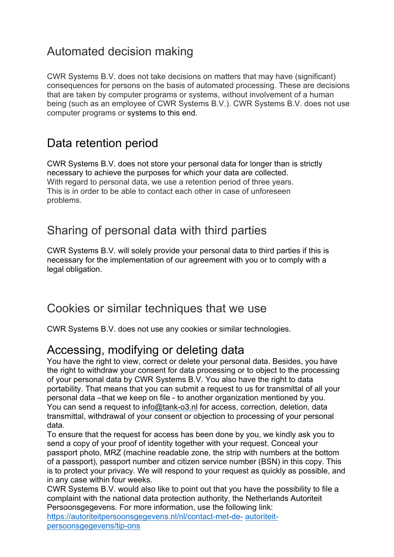# Automated decision making

CWR Systems B.V. does not take decisions on matters that may have (significant) consequences for persons on the basis of automated processing. These are decisions that are taken by computer programs or systems, without involvement of a human being (such as an employee of CWR Systems B.V.). CWR Systems B.V. does not use computer programs or systems to this end.

# Data retention period

CWR Systems B.V. does not store your personal data for longer than is strictly necessary to achieve the purposes for which your data are collected. With regard to personal data, we use a retention period of three years. This is in order to be able to contact each other in case of unforeseen problems.

## Sharing of personal data with third parties

CWR Systems B.V. will solely provide your personal data to third parties if this is necessary for the implementation of our agreement with you or to comply with a legal obligation.

### Cookies or similar techniques that we use

CWR Systems B.V. does not use any cookies or similar technologies.

### Accessing, modifying or deleting data

You have the right to view, correct or delete your personal data. Besides, you have the right to withdraw your consent for data processing or to object to the processing of your personal data by CWR Systems B.V. You also have the right to data portability. That means that you can submit a request to us for transmittal of all your personal data –that we keep on file - to another organization mentioned by you. You can send a request to info@tank-o3.nl for access, correction, deletion, data transmittal, withdrawal of your consent or objection to processing of your personal data.

To ensure that the request for access has been done by you, we kindly ask you to send a copy of your proof of identity together with your request. Conceal your passport photo, MRZ (machine readable zone, the strip with numbers at the bottom of a passport), passport number and citizen service number (BSN) in this copy. This is to protect your privacy. We will respond to your request as quickly as possible, and in any case within four weeks.

CWR Systems B.V. would also like to point out that you have the possibility to file a complaint with the national data protection authority, the Netherlands Autoriteit Persoonsgegevens. For more information, use the following link: https://autoriteitpersoonsgegevens.nl/nl/contact-met-de- autoriteit-

persoonsgegevens/tip-ons